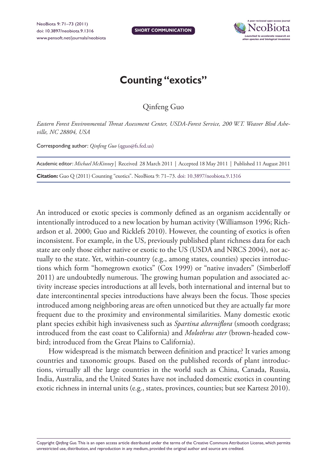

## **Counting "exotics"**

Qinfeng Guo

*Eastern Forest Environmental Threat Assessment Center, USDA-Forest Service, 200 W.T. Weaver Blvd Asheville, NC 28804, USA*

Corresponding author: *Qinfeng Guo* [\(qguo@fs.fed.us\)](mailto:qguo@fs.fed.us)

| Academic editor: Michael McKinney   Received 28 March 2011   Accepted 18 May 2011   Published 11 August 2011 |
|--------------------------------------------------------------------------------------------------------------|
| Citation: Guo Q (2011) Counting "exotics". NeoBiota 9: 71–73. doi: 10.3897/neobiota.9.1316                   |

An introduced or exotic species is commonly defined as an organism accidentally or intentionally introduced to a new location by human activity (Williamson 1996; Richardson et al. 2000; Guo and Ricklefs 2010). However, the counting of exotics is often inconsistent. For example, in the US, previously published plant richness data for each state are only those either native or exotic to the US (USDA and NRCS 2004), not actually to the state. Yet, within-country (e.g., among states, counties) species introductions which form "homegrown exotics" (Cox 1999) or "native invaders" (Simberloff 2011) are undoubtedly numerous. The growing human population and associated activity increase species introductions at all levels, both international and internal but to date intercontinental species introductions have always been the focus. Those species introduced among neighboring areas are often unnoticed but they are actually far more frequent due to the proximity and environmental similarities. Many domestic exotic plant species exhibit high invasiveness such as *Spartina alterniflora* (smooth cordgrass; introduced from the east coast to California) and *Molothrus ater* (brown-headed cowbird; introduced from the Great Plains to California).

How widespread is the mismatch between definition and practice? It varies among countries and taxonomic groups. Based on the published records of plant introductions, virtually all the large countries in the world such as China, Canada, Russia, India, Australia, and the United States have not included domestic exotics in counting exotic richness in internal units (e.g., states, provinces, counties; but see Kartesz 2010).

Copyright *Qinfeng Guo.* This is an open access article distributed under the terms of the [Creative Commons Attribution License, w](http://creativecommons.org/licenses/by/3.0/)hich permits unrestricted use, distribution, and reproduction in any medium, provided the original author and source are credited.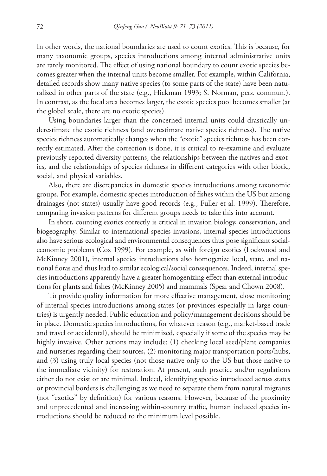In other words, the national boundaries are used to count exotics. This is because, for many taxonomic groups, species introductions among internal administrative units are rarely monitored. The effect of using national boundary to count exotic species becomes greater when the internal units become smaller. For example, within California, detailed records show many native species (to some parts of the state) have been naturalized in other parts of the state (e.g., Hickman 1993; S. Norman, pers. commun.). In contrast, as the focal area becomes larger, the exotic species pool becomes smaller (at the global scale, there are no exotic species).

Using boundaries larger than the concerned internal units could drastically underestimate the exotic richness (and overestimate native species richness). The native species richness automatically changes when the "exotic" species richness has been correctly estimated. After the correction is done, it is critical to re-examine and evaluate previously reported diversity patterns, the relationships between the natives and exotics, and the relationships of species richness in different categories with other biotic, social, and physical variables.

Also, there are discrepancies in domestic species introductions among taxonomic groups. For example, domestic species introduction of fishes within the US but among drainages (not states) usually have good records (e.g., Fuller et al. 1999). Therefore, comparing invasion patterns for different groups needs to take this into account.

In short, counting exotics correctly is critical in invasion biology, conservation, and biogeography. Similar to international species invasions, internal species introductions also have serious ecological and environmental consequences thus pose significant socialeconomic problems (Cox 1999). For example, as with foreign exotics (Lockwood and McKinney 2001), internal species introductions also homogenize local, state, and national floras and thus lead to similar ecological/social consequences. Indeed, internal species introductions apparently have a greater homogenizing effect than external introductions for plants and fishes (McKinney 2005) and mammals (Spear and Chown 2008).

To provide quality information for more effective management, close monitoring of internal species introductions among states (or provinces especially in large countries) is urgently needed. Public education and policy/management decisions should be in place. Domestic species introductions, for whatever reason (e.g., market-based trade and travel or accidental), should be minimized, especially if some of the species may be highly invasive. Other actions may include: (1) checking local seed/plant companies and nurseries regarding their sources, (2) monitoring major transportation ports/hubs, and (3) using truly local species (not those native only to the US but those native to the immediate vicinity) for restoration. At present, such practice and/or regulations either do not exist or are minimal. Indeed, identifying species introduced across states or provincial borders is challenging as we need to separate them from natural migrants (not "exotics" by definition) for various reasons. However, because of the proximity and unprecedented and increasing within-country traffic, human induced species introductions should be reduced to the minimum level possible.